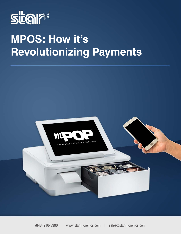

# **MPOS: How it's Revolutionizing Payments**

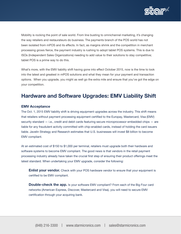

Mobility is rocking the point of sale world. From line busting to omnichannel marketing, it's changing the way retailers and restaurateurs do business. The payments branch of the POS world has not been isolated from mPOS and its effects. In fact, as margins shrink and the competition in merchant processing grows fierce, the payment industry is rushing to adopt tablet POS systems. This is due to ISOs (Independent Sales Organizations) needing to add value to their solutions to stay competitive; tablet POS is a prime way to do this.

What's more, with the EMV liability shift having gone into effect October 2015, now is the time to look into the latest and greatest in mPOS solutions and what they mean for your payment and transaction options. When you upgrade, you might as well go the extra mile and ensure that you've got the edge on your competition.

### Hardware and Software Upgrades: EMV Liability Shift

#### EMV Acceptance

The Oct. 1, 2015 EMV liability shift is driving equipment upgrades across the industry. This shift means that retailers without payment processing equipment certified to the Europay, Mastercard, Visa (EMV) security standard — i.e., credit and debit cards featuring secure microprocessor embedded chips — are liable for any fraudulent activity committed with chip-enabled cards, instead of holding the card issuers liable. Javelin Strategy and Research estimates that U.S. businesses will invest \$8 billion to become EMV compliant.

At an estimated cost of \$150 to \$1,000 per terminal, retailers must upgrade both their hardware and software systems to become EMV compliant. The good news is that vendors in the retail payment processing industry already have taken the crucial first step of ensuring their product offerings meet the latest standard. When undertaking your EMV upgrade, consider the following:

**Enlist your vendor.** Check with your POS hardware vendor to ensure that your equipment is certified to be EMV compliant.

**Double-check the app.** Is your software EMV compliant? From each of the Big Four card networks (American Express, Discover, Mastercard and Visa), you will need to secure EMV certification through your acquiring bank.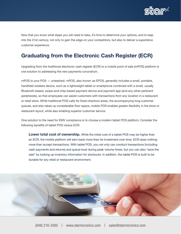

Now that you know what steps you will need to take, it's time to determine your options, and to leap into the 21st century, not only to gain the edge on your competitors, but also to deliver a superlative customer experience.

# Graduating from the Electronic Cash Register (ECR)

Upgrading from the traditional electronic cash register (ECR) to a mobile point of sale (mPOS) platform is one solution to addressing the new payments conundrum.

mPOS is your POS — unleashed. mPOS, also known as EPOS, generally includes a small, portable, handheld wireless device, such as a lightweight tablet or smartphone combined with a small, usually Bluetooth-based, swipe-and-chip-based payment device and payment app (and any other pertinent peripherals), so that employees can assist customers with transactions from any location in a restaurant or retail store. While traditional POS calls for fixed checkout areas, the accompanying long customer queues, and also takes up considerable floor space, mobile POS enables greater flexibility in the store or restaurant layout, while also enabling superior customer service.

One solution to the need for EMV compliance is to choose a modern tablet POS platform. Consider the following benefits of tablet POS versus ECR:

**Lower total cost of ownership.** While the initial cost of a tablet POS may be higher than an ECR, the mobile platform will earn back more than its investment over time. ECR does nothing more than accept transactions. With tablet POS, you not only can conduct transactions (including cash payments and returns) and queue-bust during peak volume times, but you can also "save the sale" by looking up inventory information for stockouts. In addition, the tablet POS is built to be durable for any retail or restaurant environment.

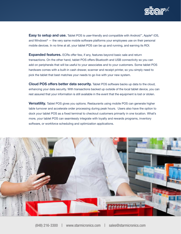

**Easy to setup and use.** Tablet POS is user-friendly and compatible with Android™, Apple® iOS, and Windows® — the very same mobile software platforms your employees use on their personal mobile devices. In no time at all, your tablet POS can be up and running, and earning its ROI.

**Expanded features.** ECRs offer few, if any, features beyond basic sale and return transactions. On the other hand, tablet POS offers Bluetooth and USB connectivity so you can add on peripherals that will be useful to your associates and to your customers. Some tablet POS hardware comes with a built-in cash drawer, scanner and receipt printer, so you simply need to pick the tablet that best matches your needs to go live with your new system.

**Cloud POS offers better data security.** Tablet POS software backs up data to the cloud, enhancing your data security. With transactions backed up outside of the local tablet device, you can rest assured that your information is still available in the event that the equipment is lost or stolen.

Versatility. Tablet POS gives you options. Restaurants using mobile POS can generate higher table turnover and accelerate order processing during peak hours. Users also have the option to dock your tablet POS as a fixed terminal to checkout customers primarily in one location. What's more, your tablet POS can seamlessly integrate with loyalty and rewards programs, inventory software, or workforce scheduling and optimization applications.

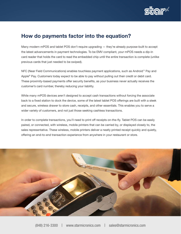

#### How do payments factor into the equation?

Many modern mPOS and tablet POS don't require upgrading — they're already purpose-built to accept the latest advancements in payment technologies. To be EMV compliant, your mPOS needs a dip-in card reader that holds the card to read the embedded chip until the entire transaction is complete (unlike previous cards that just needed to be swiped).

NFC (Near Field Communications) enables touchless payment applications, such as Android™ Pay and Apple® Pay. Customers today expect to be able to pay without pulling out their credit or debit card. These proximity-based payments offer security benefits, as your business never actually receives the customer's card number, thereby reducing your liability.

While many mPOS devices aren't designed to accept cash transactions without forcing the associate back to a fixed station to dock the device, some of the latest tablet POS offerings are built with a sleek and secure, wireless drawer to store cash, receipts, and other essentials. This enables you to serve a wider variety of customers, and not just those seeking cashless transactions.

In order to complete transactions, you'll need to print off receipts on-the-fly. Tablet POS can be easily paired, or connected, with wireless, mobile printers that can be carried by, or displayed closely to, the sales representative. These wireless, mobile printers deliver a neatly printed receipt quickly and quietly, offering an end-to-end transaction experience from anywhere in your restaurant or store.

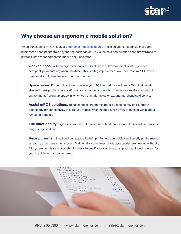

#### Why choose an ergonomic mobile solution?

When considering mPOS, look at [ergonomic mobile solutions](http://www.mpop.com). These solutions recognize that some businesses need peripherals beyond the basic tablet POS, such as a combination cash drawer/receipt printer. Here's what ergonomic mobile solutions offer:

**Convenience.** With an ergonomic tablet POS plus cash drawer/receipt printer, you can accept all payments anywhere, anytime. This is a big improvement over common mPOS, which traditionally only handles electronic payments.

**Space saver.** Ergonomic solutions reduce your POS footprint significantly. With their small size and sleek profile, these platforms are attractive and unobtrusive in your retail or restaurant environment, freeing up space in which you can add tables or expand merchandise displays.

Assist mPOS solutions. Because these ergonomic mobile solutions rely on Bluetooth technology for connectivity, they're fully mobile when needed and rid you of tangled wires and a jumble of dongles.

Full functionality. Ergonomic mobile solutions offer robust features and functionality for a wide range of applications.

**Receipt printer.** Small and compact, a built-in printer lets you quickly and quietly print a receipt as soon as the transaction closes. Additionally, sometimes single accessories are needed without a full system. In this case, you should check to see if your system can support additional printers for your bar, kitchen, and other areas.

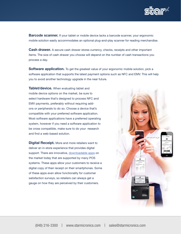

**Barcode scanner.** If your tablet or mobile device lacks a barcode scanner, your ergonomic mobile solution easily accommodates an optional plug-and-play scanner for reading merchandise.

**Cash drawer.** A secure cash drawer stores currency, checks, receipts and other important items. The size of cash drawer you choose will depend on the number of cash transactions you process a day.

**Software application.** To get the greatest value of your ergonomic mobile solution, pick a software application that supports the latest payment options such as NFC and EMV. This will help you to avoid another technology upgrade in the near future.

**Tablet/device.** When evaluating tablet and mobile device options on the market, be sure to select hardware that's designed to process NFC and EMV payments, preferably without requiring addons or peripherals to do so. Choose a device that's compatible with your preferred software application. Most software applications have a preferred operating system, however if you need a software application to be cross compatible, make sure to do your research and find a web-based solution.

**Digital Receipt.** More and more retailers want to deliver an in-store experience that provides digital support. There are innovative, [downloadable apps](http://www.allreceipts.com) on the market today that are supported by many POS systems. These apps allow your customers to receive a digital copy of their receipt on their smartphones. Some of these apps even allow functionality for customer satisfaction surveys, so retailers can always get a gauge on how they are perceived by their customers.